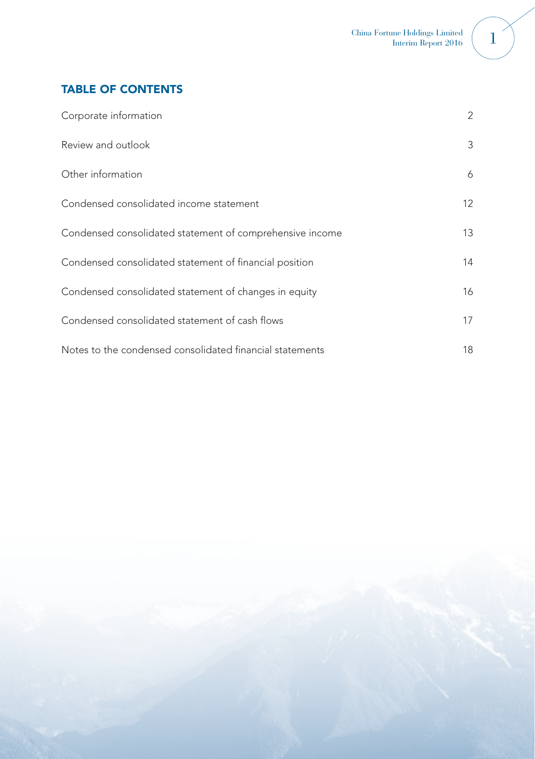# TABLE OF CONTENTS

| Corporate information                                    | 2               |
|----------------------------------------------------------|-----------------|
| Review and outlook                                       | 3               |
| Other information                                        | 6               |
| Condensed consolidated income statement                  | 12 <sup>2</sup> |
| Condensed consolidated statement of comprehensive income | 13              |
| Condensed consolidated statement of financial position   | 14              |
| Condensed consolidated statement of changes in equity    | 16              |
| Condensed consolidated statement of cash flows           | 17              |
| Notes to the condensed consolidated financial statements | 18              |

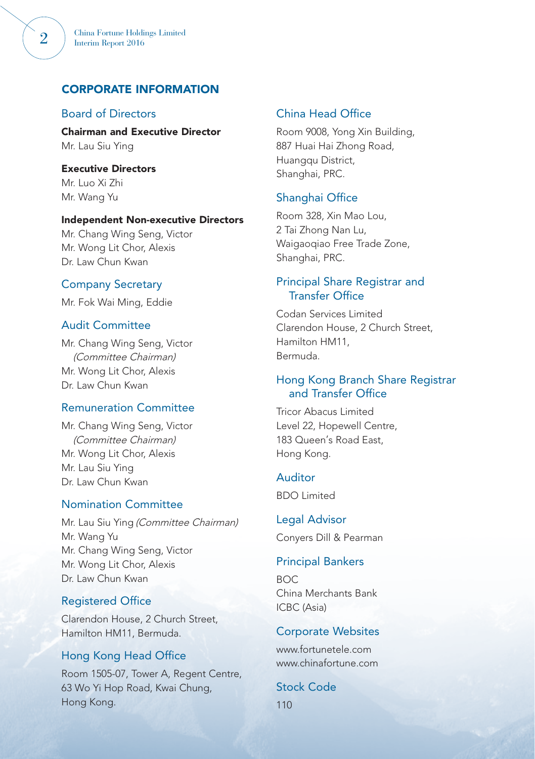## CORPORATE INFORMATION

## Board of Directors

Chairman and Executive Director Mr. Lau Siu Ying

Executive Directors Mr. Luo Xi Zhi Mr. Wang Yu

#### Independent Non-executive Directors

Mr. Chang Wing Seng, Victor Mr. Wong Lit Chor, Alexis Dr. Law Chun Kwan

### Company Secretary

Mr. Fok Wai Ming, Eddie

## Audit Committee

Mr. Chang Wing Seng, Victor (Committee Chairman) Mr. Wong Lit Chor, Alexis Dr. Law Chun Kwan

## Remuneration Committee

Mr. Chang Wing Seng, Victor (Committee Chairman) Mr. Wong Lit Chor, Alexis Mr. Lau Siu Ying Dr. Law Chun Kwan

## Nomination Committee

Mr. Lau Siu Ying (Committee Chairman) Mr. Wang Yu Mr. Chang Wing Seng, Victor Mr. Wong Lit Chor, Alexis Dr. Law Chun Kwan

## Registered Office

Clarendon House, 2 Church Street, Hamilton HM11, Bermuda.

## Hong Kong Head Office

Room 1505-07, Tower A, Regent Centre, 63 Wo Yi Hop Road, Kwai Chung, Hong Kong.

## China Head Office

Room 9008, Yong Xin Building, 887 Huai Hai Zhong Road, Huangqu District, Shanghai, PRC.

### Shanghai Office

Room 328, Xin Mao Lou, 2 Tai Zhong Nan Lu, Waigaoqiao Free Trade Zone, Shanghai, PRC.

## Principal Share Registrar and Transfer Office

Codan Services Limited Clarendon House, 2 Church Street, Hamilton HM11, Bermuda.

## Hong Kong Branch Share Registrar and Transfer Office

Tricor Abacus Limited Level 22, Hopewell Centre, 183 Queen's Road East, Hong Kong.

#### Auditor

BDO Limited

Legal Advisor Conyers Dill & Pearman

## Principal Bankers

BOC China Merchants Bank ICBC (Asia)

#### Corporate Websites

www.fortunetele.com www.chinafortune.com

Stock Code 110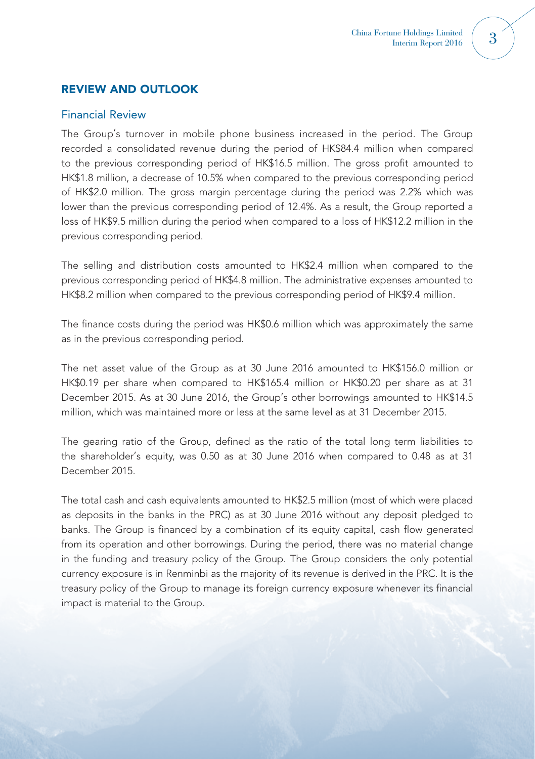# REVIEW AND OUTLOOK

## Financial Review

The Group's turnover in mobile phone business increased in the period. The Group recorded a consolidated revenue during the period of HK\$84.4 million when compared to the previous corresponding period of HK\$16.5 million. The gross profit amounted to HK\$1.8 million, a decrease of 10.5% when compared to the previous corresponding period of HK\$2.0 million. The gross margin percentage during the period was 2.2% which was lower than the previous corresponding period of 12.4%. As a result, the Group reported a loss of HK\$9.5 million during the period when compared to a loss of HK\$12.2 million in the previous corresponding period.

The selling and distribution costs amounted to HK\$2.4 million when compared to the previous corresponding period of HK\$4.8 million. The administrative expenses amounted to HK\$8.2 million when compared to the previous corresponding period of HK\$9.4 million.

The finance costs during the period was HK\$0.6 million which was approximately the same as in the previous corresponding period.

The net asset value of the Group as at 30 June 2016 amounted to HK\$156.0 million or HK\$0.19 per share when compared to HK\$165.4 million or HK\$0.20 per share as at 31 December 2015. As at 30 June 2016, the Group's other borrowings amounted to HK\$14.5 million, which was maintained more or less at the same level as at 31 December 2015.

The gearing ratio of the Group, defined as the ratio of the total long term liabilities to the shareholder's equity, was 0.50 as at 30 June 2016 when compared to 0.48 as at 31 December 2015.

The total cash and cash equivalents amounted to HK\$2.5 million (most of which were placed as deposits in the banks in the PRC) as at 30 June 2016 without any deposit pledged to banks. The Group is financed by a combination of its equity capital, cash flow generated from its operation and other borrowings. During the period, there was no material change in the funding and treasury policy of the Group. The Group considers the only potential currency exposure is in Renminbi as the majority of its revenue is derived in the PRC. It is the treasury policy of the Group to manage its foreign currency exposure whenever its financial impact is material to the Group.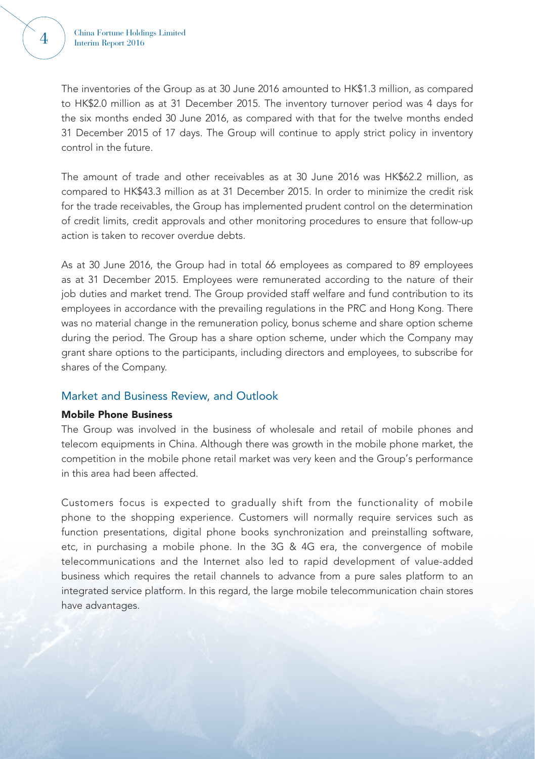The inventories of the Group as at 30 June 2016 amounted to HK\$1.3 million, as compared to HK\$2.0 million as at 31 December 2015. The inventory turnover period was 4 days for the six months ended 30 June 2016, as compared with that for the twelve months ended 31 December 2015 of 17 days. The Group will continue to apply strict policy in inventory control in the future.

The amount of trade and other receivables as at 30 June 2016 was HK\$62.2 million, as compared to HK\$43.3 million as at 31 December 2015. In order to minimize the credit risk for the trade receivables, the Group has implemented prudent control on the determination of credit limits, credit approvals and other monitoring procedures to ensure that follow-up action is taken to recover overdue debts.

As at 30 June 2016, the Group had in total 66 employees as compared to 89 employees as at 31 December 2015. Employees were remunerated according to the nature of their job duties and market trend. The Group provided staff welfare and fund contribution to its employees in accordance with the prevailing regulations in the PRC and Hong Kong. There was no material change in the remuneration policy, bonus scheme and share option scheme during the period. The Group has a share option scheme, under which the Company may grant share options to the participants, including directors and employees, to subscribe for shares of the Company.

## Market and Business Review, and Outlook

#### Mobile Phone Business

The Group was involved in the business of wholesale and retail of mobile phones and telecom equipments in China. Although there was growth in the mobile phone market, the competition in the mobile phone retail market was very keen and the Group's performance in this area had been affected.

Customers focus is expected to gradually shift from the functionality of mobile phone to the shopping experience. Customers will normally require services such as function presentations, digital phone books synchronization and preinstalling software, etc, in purchasing a mobile phone. In the 3G & 4G era, the convergence of mobile telecommunications and the Internet also led to rapid development of value-added business which requires the retail channels to advance from a pure sales platform to an integrated service platform. In this regard, the large mobile telecommunication chain stores have advantages.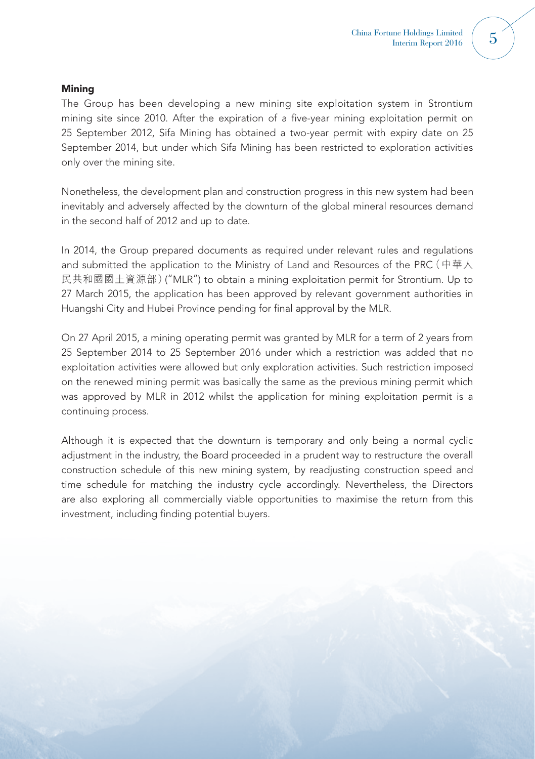#### **Mining**

The Group has been developing a new mining site exploitation system in Strontium mining site since 2010. After the expiration of a five-year mining exploitation permit on 25 September 2012, Sifa Mining has obtained a two-year permit with expiry date on 25 September 2014, but under which Sifa Mining has been restricted to exploration activities only over the mining site.

Nonetheless, the development plan and construction progress in this new system had been inevitably and adversely affected by the downturn of the global mineral resources demand in the second half of 2012 and up to date.

In 2014, the Group prepared documents as required under relevant rules and regulations and submitted the application to the Ministry of Land and Resources of the PRC(中華人 民共和國國土資源部)("MLR") to obtain a mining exploitation permit for Strontium. Up to 27 March 2015, the application has been approved by relevant government authorities in Huangshi City and Hubei Province pending for final approval by the MLR.

On 27 April 2015, a mining operating permit was granted by MLR for a term of 2 years from 25 September 2014 to 25 September 2016 under which a restriction was added that no exploitation activities were allowed but only exploration activities. Such restriction imposed on the renewed mining permit was basically the same as the previous mining permit which was approved by MLR in 2012 whilst the application for mining exploitation permit is a continuing process.

Although it is expected that the downturn is temporary and only being a normal cyclic adjustment in the industry, the Board proceeded in a prudent way to restructure the overall construction schedule of this new mining system, by readjusting construction speed and time schedule for matching the industry cycle accordingly. Nevertheless, the Directors are also exploring all commercially viable opportunities to maximise the return from this investment, including finding potential buyers.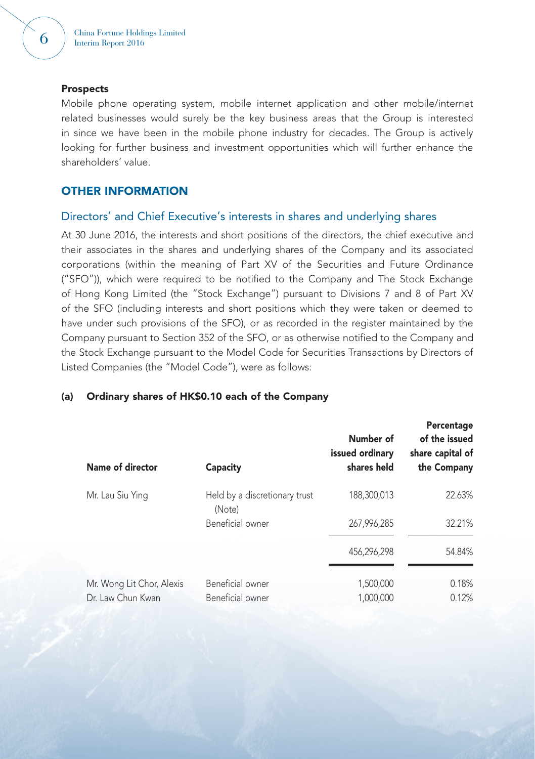#### **Prospects**

Mobile phone operating system, mobile internet application and other mobile/internet related businesses would surely be the key business areas that the Group is interested in since we have been in the mobile phone industry for decades. The Group is actively looking for further business and investment opportunities which will further enhance the shareholders' value.

## OTHER INFORMATION

# Directors' and Chief Executive's interests in shares and underlying shares

At 30 June 2016, the interests and short positions of the directors, the chief executive and their associates in the shares and underlying shares of the Company and its associated corporations (within the meaning of Part XV of the Securities and Future Ordinance ("SFO")), which were required to be notified to the Company and The Stock Exchange of Hong Kong Limited (the "Stock Exchange") pursuant to Divisions 7 and 8 of Part XV of the SFO (including interests and short positions which they were taken or deemed to have under such provisions of the SFO), or as recorded in the register maintained by the Company pursuant to Section 352 of the SFO, or as otherwise notified to the Company and the Stock Exchange pursuant to the Model Code for Securities Transactions by Directors of Listed Companies (the "Model Code"), were as follows:

| Name of director          | Capacity                                | Number of<br>issued ordinary<br>shares held | Percentage<br>of the issued<br>share capital of<br>the Company |
|---------------------------|-----------------------------------------|---------------------------------------------|----------------------------------------------------------------|
| Mr. Lau Siu Ying          | Held by a discretionary trust<br>(Note) | 188,300,013                                 | 22.63%                                                         |
|                           | Beneficial owner                        | 267,996,285                                 | 32.21%                                                         |
|                           |                                         | 456,296,298                                 | 54.84%                                                         |
| Mr. Wong Lit Chor, Alexis | Beneficial owner                        | 1,500,000                                   | 0.18%                                                          |
| Dr. Law Chun Kwan         | Beneficial owner                        | 1.000.000                                   | 0.12%                                                          |

### (a) Ordinary shares of HK\$0.10 each of the Company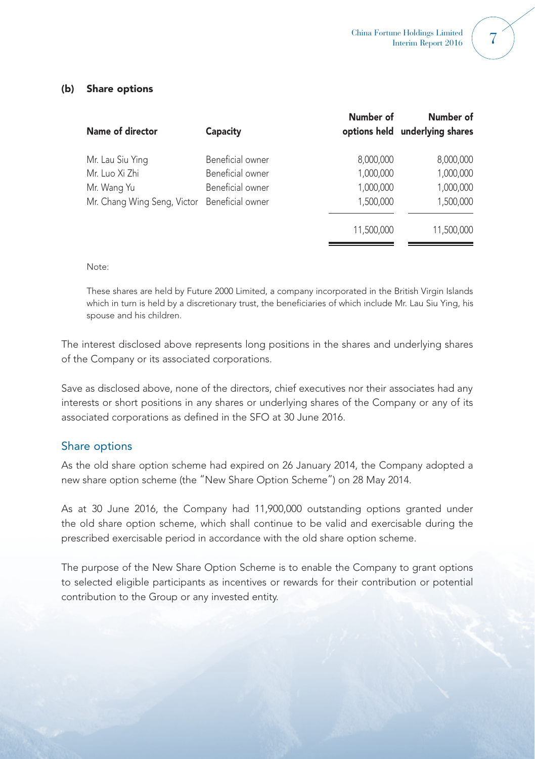## (b) Share options

| Name of director                             | Capacity         | Number of  | Number of<br>options held underlying shares |
|----------------------------------------------|------------------|------------|---------------------------------------------|
| Mr. Lau Siu Ying                             | Beneficial owner | 8,000,000  | 8,000,000                                   |
| Mr. Luo Xi Zhi                               | Beneficial owner | 1,000,000  | 1,000,000                                   |
| Mr. Wang Yu                                  | Beneficial owner | 1,000,000  | 1,000,000                                   |
| Mr. Chang Wing Seng, Victor Beneficial owner |                  | 1,500,000  | 1,500,000                                   |
|                                              |                  | 11,500,000 | 11,500,000                                  |

### Note:

These shares are held by Future 2000 Limited, a company incorporated in the British Virgin Islands which in turn is held by a discretionary trust, the beneficiaries of which include Mr. Lau Siu Ying, his spouse and his children.

The interest disclosed above represents long positions in the shares and underlying shares of the Company or its associated corporations.

Save as disclosed above, none of the directors, chief executives nor their associates had any interests or short positions in any shares or underlying shares of the Company or any of its associated corporations as defined in the SFO at 30 June 2016.

## Share options

As the old share option scheme had expired on 26 January 2014, the Company adopted a new share option scheme (the "New Share Option Scheme") on 28 May 2014.

As at 30 June 2016, the Company had 11,900,000 outstanding options granted under the old share option scheme, which shall continue to be valid and exercisable during the prescribed exercisable period in accordance with the old share option scheme.

The purpose of the New Share Option Scheme is to enable the Company to grant options to selected eligible participants as incentives or rewards for their contribution or potential contribution to the Group or any invested entity.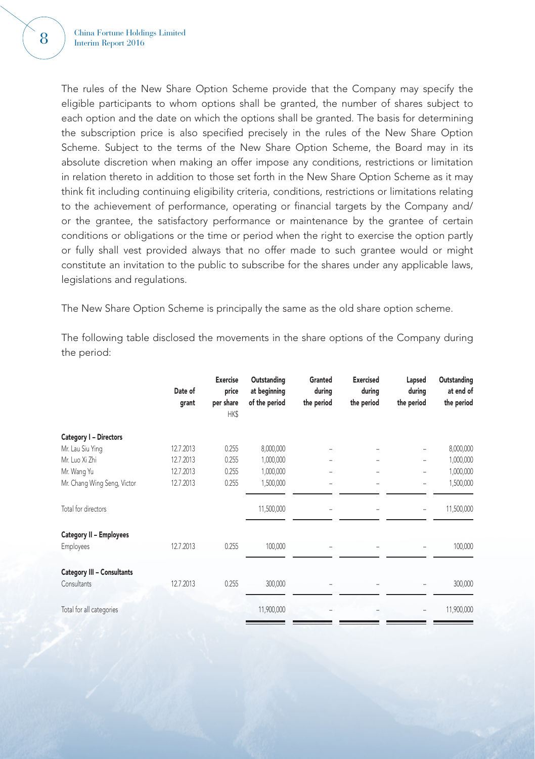The rules of the New Share Option Scheme provide that the Company may specify the eligible participants to whom options shall be granted, the number of shares subject to each option and the date on which the options shall be granted. The basis for determining the subscription price is also specified precisely in the rules of the New Share Option Scheme. Subject to the terms of the New Share Option Scheme, the Board may in its absolute discretion when making an offer impose any conditions, restrictions or limitation in relation thereto in addition to those set forth in the New Share Option Scheme as it may think fit including continuing eligibility criteria, conditions, restrictions or limitations relating to the achievement of performance, operating or financial targets by the Company and/ or the grantee, the satisfactory performance or maintenance by the grantee of certain conditions or obligations or the time or period when the right to exercise the option partly or fully shall vest provided always that no offer made to such grantee would or might constitute an invitation to the public to subscribe for the shares under any applicable laws, legislations and regulations.

The New Share Option Scheme is principally the same as the old share option scheme.

The following table disclosed the movements in the share options of the Company during the period:

|                                   | Date of<br>grant | <b>Exercise</b><br>price<br>per share<br>HK\$ | Outstanding<br>at beginning<br>of the period | Granted<br>during<br>the period | <b>Exercised</b><br>during<br>the period | Lapsed<br>during<br>the period | Outstanding<br>at end of<br>the period |
|-----------------------------------|------------------|-----------------------------------------------|----------------------------------------------|---------------------------------|------------------------------------------|--------------------------------|----------------------------------------|
| Category I - Directors            |                  |                                               |                                              |                                 |                                          |                                |                                        |
| Mr. Lau Siu Ying                  | 12.7.2013        | 0.255                                         | 8,000,000                                    |                                 |                                          | $\overline{\phantom{a}}$       | 8,000,000                              |
| Mr. Luo Xi Zhi                    | 12.7.2013        | 0.255                                         | 1,000,000                                    |                                 |                                          |                                | 1,000,000                              |
| Mr. Wang Yu                       | 12.7.2013        | 0.255                                         | 1,000,000                                    |                                 |                                          | $\overline{\phantom{a}}$       | 1,000,000                              |
| Mr. Chang Wing Seng, Victor       | 12.7.2013        | 0.255                                         | 1,500,000                                    |                                 |                                          | $\overline{\phantom{a}}$       | 1,500,000                              |
| Total for directors               |                  |                                               | 11,500,000                                   |                                 |                                          |                                | 11,500,000                             |
| Category II - Employees           |                  |                                               |                                              |                                 |                                          |                                |                                        |
| <b>Employees</b>                  | 12.7.2013        | 0.255                                         | 100,000                                      |                                 |                                          |                                | 100,000                                |
| <b>Category III - Consultants</b> |                  |                                               |                                              |                                 |                                          |                                |                                        |
| Consultants                       | 12.7.2013        | 0.255                                         | 300,000                                      |                                 |                                          |                                | 300,000                                |
| Total for all categories          |                  |                                               | 11,900,000                                   |                                 |                                          |                                | 11,900,000                             |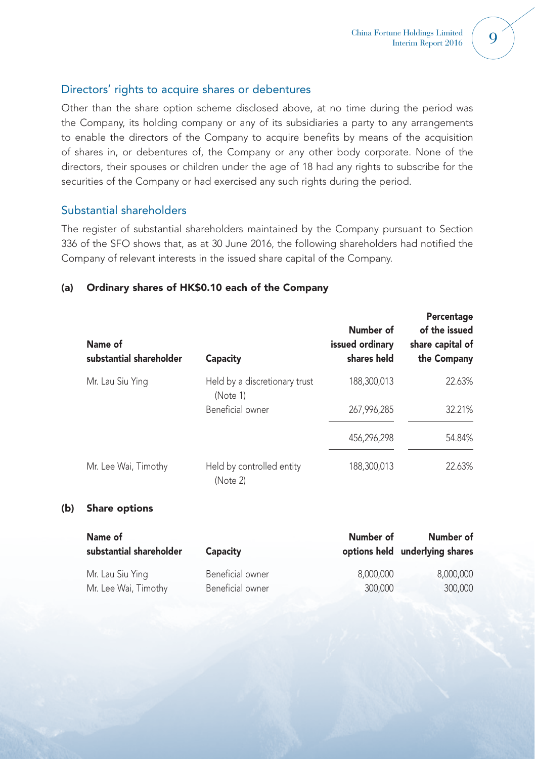## Directors' rights to acquire shares or debentures

Other than the share option scheme disclosed above, at no time during the period was the Company, its holding company or any of its subsidiaries a party to any arrangements to enable the directors of the Company to acquire benefits by means of the acquisition of shares in, or debentures of, the Company or any other body corporate. None of the directors, their spouses or children under the age of 18 had any rights to subscribe for the securities of the Company or had exercised any such rights during the period.

## Substantial shareholders

The register of substantial shareholders maintained by the Company pursuant to Section 336 of the SFO shows that, as at 30 June 2016, the following shareholders had notified the Company of relevant interests in the issued share capital of the Company.

## (a) Ordinary shares of HK\$0.10 each of the Company

| Name of<br>substantial shareholder | Capacity                                  | Number of<br>issued ordinary<br>shares held | Percentage<br>of the issued<br>share capital of<br>the Company |
|------------------------------------|-------------------------------------------|---------------------------------------------|----------------------------------------------------------------|
| Mr. Lau Siu Ying                   | Held by a discretionary trust<br>(Note 1) | 188,300,013                                 | 22.63%                                                         |
|                                    | Beneficial owner                          | 267.996.285                                 | 32.21%                                                         |
|                                    |                                           | 456,296,298                                 | 54.84%                                                         |
| Mr. Lee Wai, Timothy               | Held by controlled entity<br>(Note 2)     | 188,300,013                                 | 22.63%                                                         |

### (b) Share options

| Name of                 |                  | Number of | Number of                      |
|-------------------------|------------------|-----------|--------------------------------|
| substantial shareholder | Capacity         |           | options held underlying shares |
| Mr. Lau Siu Ying        | Beneficial owner | 8.000.000 | 8,000,000                      |
| Mr. Lee Wai, Timothy    | Beneficial owner | 300,000   | 300,000                        |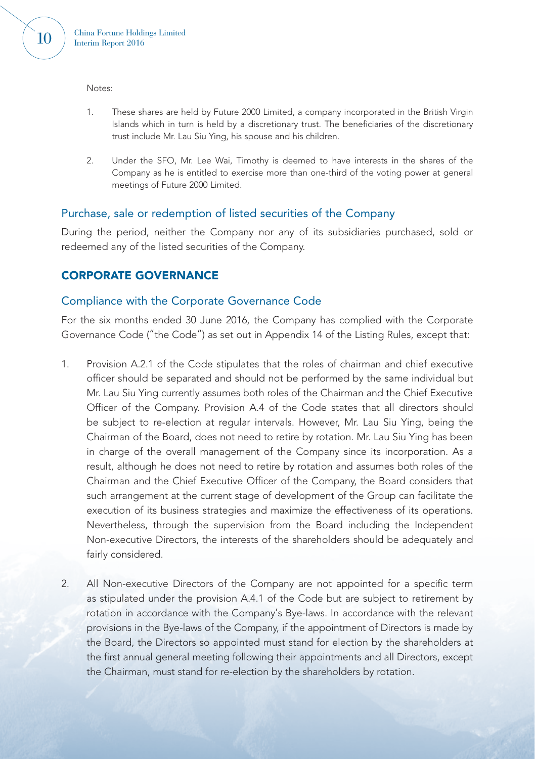Notes:

- 1. These shares are held by Future 2000 Limited, a company incorporated in the British Virgin Islands which in turn is held by a discretionary trust. The beneficiaries of the discretionary trust include Mr. Lau Siu Ying, his spouse and his children.
- 2. Under the SFO, Mr. Lee Wai, Timothy is deemed to have interests in the shares of the Company as he is entitled to exercise more than one-third of the voting power at general meetings of Future 2000 Limited.

## Purchase, sale or redemption of listed securities of the Company

During the period, neither the Company nor any of its subsidiaries purchased, sold or redeemed any of the listed securities of the Company.

## CORPORATE GOVERNANCE

## Compliance with the Corporate Governance Code

For the six months ended 30 June 2016, the Company has complied with the Corporate Governance Code ("the Code") as set out in Appendix 14 of the Listing Rules, except that:

- 1. Provision A.2.1 of the Code stipulates that the roles of chairman and chief executive officer should be separated and should not be performed by the same individual but Mr. Lau Siu Ying currently assumes both roles of the Chairman and the Chief Executive Officer of the Company. Provision A.4 of the Code states that all directors should be subject to re-election at regular intervals. However, Mr. Lau Siu Ying, being the Chairman of the Board, does not need to retire by rotation. Mr. Lau Siu Ying has been in charge of the overall management of the Company since its incorporation. As a result, although he does not need to retire by rotation and assumes both roles of the Chairman and the Chief Executive Officer of the Company, the Board considers that such arrangement at the current stage of development of the Group can facilitate the execution of its business strategies and maximize the effectiveness of its operations. Nevertheless, through the supervision from the Board including the Independent Non-executive Directors, the interests of the shareholders should be adequately and fairly considered.
- 2. All Non-executive Directors of the Company are not appointed for a specific term as stipulated under the provision A.4.1 of the Code but are subject to retirement by rotation in accordance with the Company's Bye-laws. In accordance with the relevant provisions in the Bye-laws of the Company, if the appointment of Directors is made by the Board, the Directors so appointed must stand for election by the shareholders at the first annual general meeting following their appointments and all Directors, except the Chairman, must stand for re-election by the shareholders by rotation.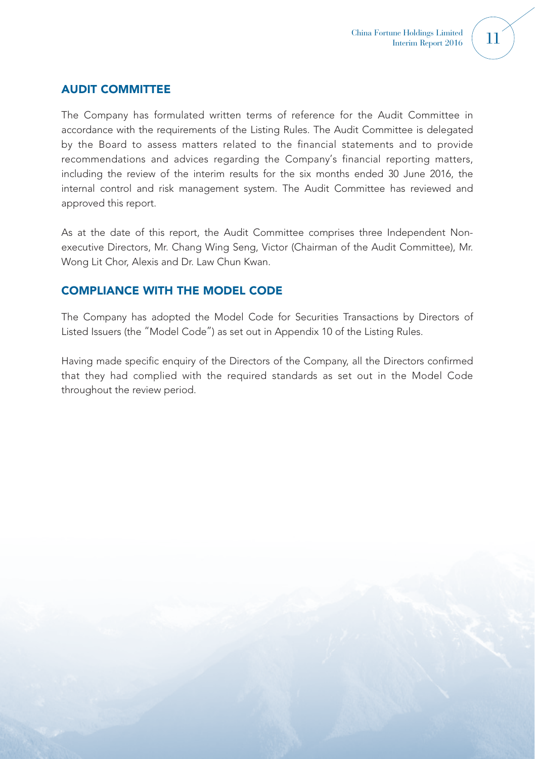## AUDIT COMMITTEE

The Company has formulated written terms of reference for the Audit Committee in accordance with the requirements of the Listing Rules. The Audit Committee is delegated by the Board to assess matters related to the financial statements and to provide recommendations and advices regarding the Company's financial reporting matters, including the review of the interim results for the six months ended 30 June 2016, the internal control and risk management system. The Audit Committee has reviewed and approved this report.

As at the date of this report, the Audit Committee comprises three Independent Nonexecutive Directors, Mr. Chang Wing Seng, Victor (Chairman of the Audit Committee), Mr. Wong Lit Chor, Alexis and Dr. Law Chun Kwan.

## COMPLIANCE WITH THE MODEL CODE

The Company has adopted the Model Code for Securities Transactions by Directors of Listed Issuers (the "Model Code") as set out in Appendix 10 of the Listing Rules.

Having made specific enquiry of the Directors of the Company, all the Directors confirmed that they had complied with the required standards as set out in the Model Code throughout the review period.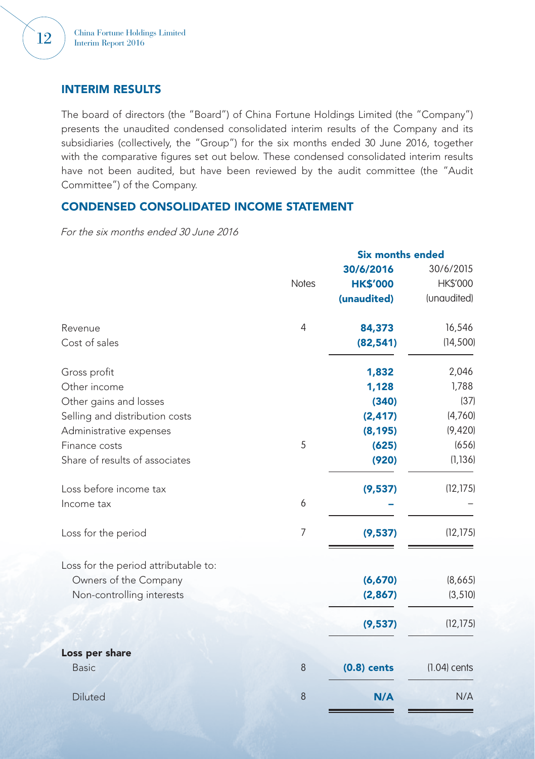## INTERIM RESULTS

The board of directors (the "Board") of China Fortune Holdings Limited (the "Company") presents the unaudited condensed consolidated interim results of the Company and its subsidiaries (collectively, the "Group") for the six months ended 30 June 2016, together with the comparative figures set out below. These condensed consolidated interim results have not been audited, but have been reviewed by the audit committee (the "Audit Committee") of the Company.

## CONDENSED CONSOLIDATED INCOME STATEMENT

For the six months ended 30 June 2016

|                                      | <b>Six months ended</b> |                 |                |  |
|--------------------------------------|-------------------------|-----------------|----------------|--|
|                                      |                         | 30/6/2016       | 30/6/2015      |  |
|                                      | <b>Notes</b>            | <b>HK\$'000</b> | HK\$'000       |  |
|                                      |                         | (unaudited)     | (unaudited)    |  |
| Revenue                              | $\overline{4}$          | 84,373          | 16,546         |  |
| Cost of sales                        |                         | (82, 541)       | (14, 500)      |  |
| Gross profit                         |                         | 1,832           | 2,046          |  |
| Other income                         |                         | 1,128           | 1,788          |  |
| Other gains and losses               |                         | (340)           | (37)           |  |
| Selling and distribution costs       |                         | (2, 417)        | (4,760)        |  |
| Administrative expenses              |                         | (8, 195)        | (9,420)        |  |
| Finance costs                        | 5                       | (625)           | (656)          |  |
| Share of results of associates       |                         | (920)           | (1, 136)       |  |
| Loss before income tax               |                         | (9,537)         | (12, 175)      |  |
| Income tax                           | 6                       |                 |                |  |
| Loss for the period                  | $\overline{7}$          | (9,537)         | (12, 175)      |  |
| Loss for the period attributable to: |                         |                 |                |  |
| Owners of the Company                |                         | (6,670)         | (8,665)        |  |
| Non-controlling interests            |                         | (2, 867)        | (3, 510)       |  |
|                                      |                         | (9,537)         | (12, 175)      |  |
| Loss per share                       |                         |                 |                |  |
| <b>Basic</b>                         | 8                       | $(0.8)$ cents   | $(1.04)$ cents |  |
| <b>Diluted</b>                       | 8                       | N/A             | N/A            |  |
|                                      |                         |                 |                |  |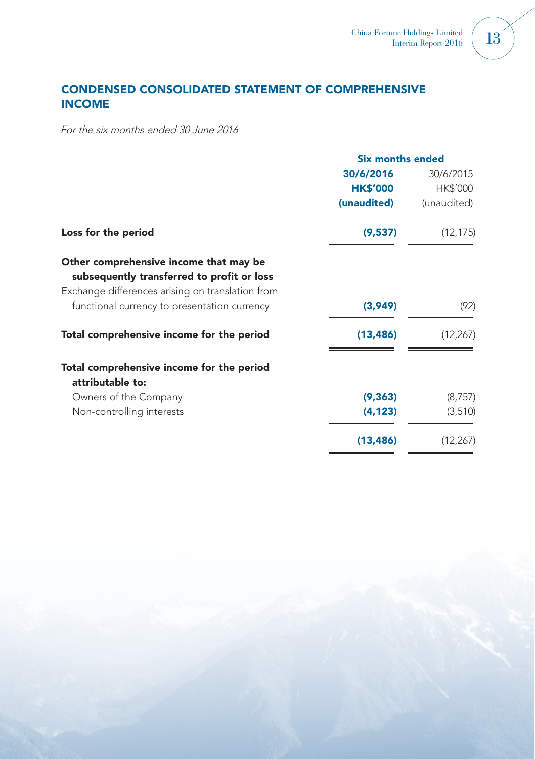# CONDENSED CONSOLIDATED STATEMENT OF COMPREHENSIVE INCOME

For the six months ended 30 June 2016

| <b>Six months ended</b> |             |
|-------------------------|-------------|
| 30/6/2016               | 30/6/2015   |
| <b>HK\$'000</b>         | HK\$'000    |
| (unaudited)             | (unaudited) |
| (9,537)                 | (12, 175)   |
|                         |             |
|                         |             |
| (3,949)                 | (92)        |
| (13, 486)               | (12, 267)   |
|                         |             |
|                         |             |
|                         | (8,757)     |
| (4, 123)                | (3,510)     |
| (13, 486)               | (12, 267)   |
|                         | (9, 363)    |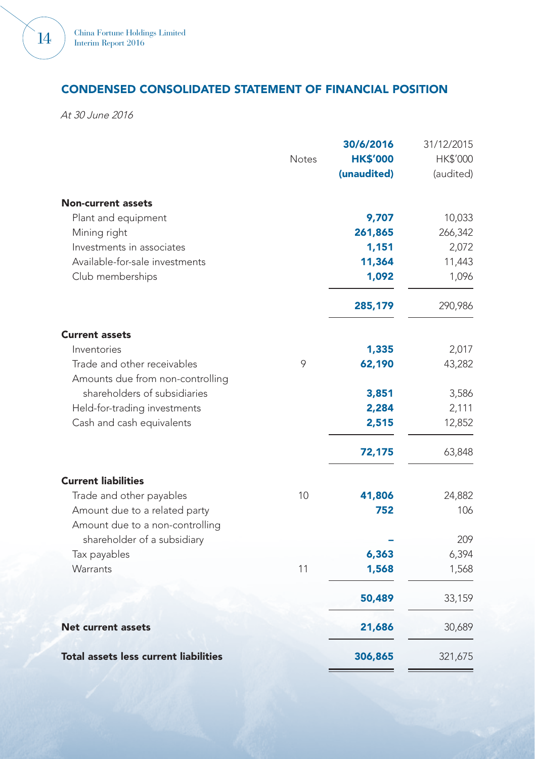# CONDENSED CONSOLIDATED STATEMENT OF FINANCIAL POSITION

At 30 June 2016

|                                                                  |              | 30/6/2016       | 31/12/2015      |
|------------------------------------------------------------------|--------------|-----------------|-----------------|
|                                                                  | <b>Notes</b> | <b>HK\$'000</b> | <b>HK\$'000</b> |
|                                                                  |              | (unaudited)     | (audited)       |
| <b>Non-current assets</b>                                        |              |                 |                 |
| Plant and equipment                                              |              | 9,707           | 10,033          |
| Mining right                                                     |              | 261,865         | 266,342         |
| Investments in associates                                        |              | 1,151           | 2,072           |
| Available-for-sale investments                                   |              | 11,364          | 11,443          |
| Club memberships                                                 |              | 1,092           | 1,096           |
|                                                                  |              | 285,179         | 290,986         |
| <b>Current assets</b>                                            |              |                 |                 |
| Inventories                                                      |              | 1,335           | 2,017           |
| Trade and other receivables<br>Amounts due from non-controlling  | 9            | 62,190          | 43,282          |
| shareholders of subsidiaries                                     |              | 3,851           | 3,586           |
| Held-for-trading investments                                     |              | 2,284           | 2,111           |
| Cash and cash equivalents                                        |              | 2,515           | 12,852          |
|                                                                  |              | 72,175          | 63,848          |
| <b>Current liabilities</b>                                       |              |                 |                 |
| Trade and other payables                                         | 10           | 41,806          | 24,882          |
| Amount due to a related party<br>Amount due to a non-controlling |              | 752             | 106             |
| shareholder of a subsidiary                                      |              |                 | 209             |
| Tax payables                                                     |              | 6,363           | 6,394           |
| Warrants                                                         | 11           | 1,568           | 1,568           |
|                                                                  |              | 50,489          | 33,159          |
| <b>Net current assets</b>                                        |              | 21,686          | 30,689          |
| <b>Total assets less current liabilities</b>                     |              | 306,865         | 321,675         |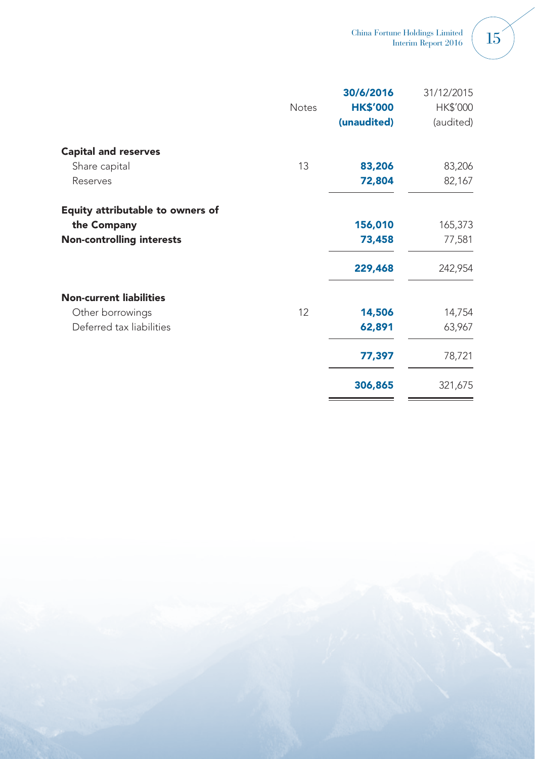|  |  | ×  |
|--|--|----|
|  |  | u, |

|                                  |              | 30/6/2016       | 31/12/2015 |
|----------------------------------|--------------|-----------------|------------|
|                                  | <b>Notes</b> | <b>HK\$'000</b> | HK\$'000   |
|                                  |              | (unaudited)     | (audited)  |
| <b>Capital and reserves</b>      |              |                 |            |
| Share capital                    | 13           | 83,206          | 83,206     |
| Reserves                         |              | 72,804          | 82,167     |
| Equity attributable to owners of |              |                 |            |
| the Company                      |              | 156,010         | 165,373    |
| <b>Non-controlling interests</b> |              | 73,458          | 77,581     |
|                                  |              | 229,468         | 242,954    |
| <b>Non-current liabilities</b>   |              |                 |            |
| Other borrowings                 | 12           | 14,506          | 14,754     |
| Deferred tax liabilities         |              | 62,891          | 63,967     |
|                                  |              | 77,397          | 78,721     |
|                                  |              | 306,865         | 321,675    |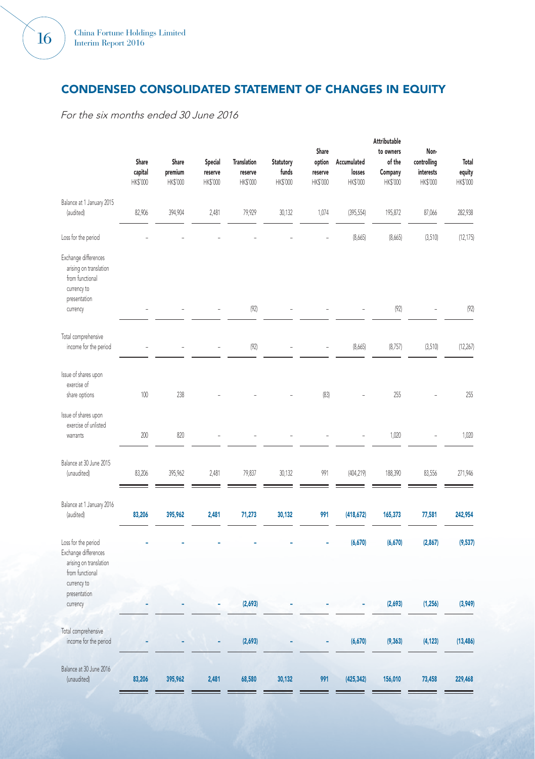# CONDENSED CONSOLIDATED STATEMENT OF CHANGES IN EQUITY

For the six months ended 30 June 2016

|                                                                                                              | Share<br>capital<br>HK\$'000 | Share<br>premium<br>HK\$'000 | <b>Special</b><br>reserve<br>HK\$'000 | <b>Translation</b><br>reserve<br>HK\$'000 | <b>Statutory</b><br>funds<br>HK\$'000 | Share<br>option<br>reserve<br>HK\$'000 | Accumulated<br>losses<br>HK\$'000 | Attributable<br>to owners<br>of the<br>Company<br>HK\$'000 | Non-<br>controlling<br>interests<br>HK\$'000 | Total<br>equity<br>HK\$'000 |
|--------------------------------------------------------------------------------------------------------------|------------------------------|------------------------------|---------------------------------------|-------------------------------------------|---------------------------------------|----------------------------------------|-----------------------------------|------------------------------------------------------------|----------------------------------------------|-----------------------------|
| Balance at 1 January 2015<br>(audited)                                                                       | 82,906                       | 394,904                      | 2,481                                 | 79,929                                    | 30,132                                | 1,074                                  | (395, 554)                        | 195,872                                                    | 87,066                                       | 282,938                     |
| Loss for the period                                                                                          |                              |                              |                                       |                                           |                                       |                                        | (8,665)                           | (8,665)                                                    | (3,510)                                      | (12, 175)                   |
| Exchange differences<br>arising on translation<br>from functional<br>currency to<br>presentation<br>currency |                              |                              |                                       | (92)                                      |                                       |                                        |                                   | (92)                                                       |                                              | (92)                        |
|                                                                                                              |                              |                              |                                       |                                           |                                       |                                        |                                   |                                                            |                                              |                             |
| Total comprehensive<br>income for the period                                                                 |                              |                              |                                       | (92)                                      |                                       |                                        | (8,665)                           | (8,757)                                                    | (3,510)                                      | (12, 267)                   |
| Issue of shares upon<br>exercise of<br>share options                                                         | 100                          | 238                          |                                       |                                           |                                       | (83)                                   |                                   | 255                                                        |                                              | 255                         |
| Issue of shares upon<br>exercise of unlisted<br>warrants                                                     | 200                          | 820                          |                                       |                                           |                                       |                                        |                                   | 1,020                                                      |                                              | 1,020                       |
| Balance at 30 June 2015<br>(unaudited)                                                                       | 83,206                       | 395,962                      | 2,481                                 | 79,837                                    | 30,132                                | 991                                    | (404,219)                         | 188,390                                                    | 83,556                                       | 271,946                     |
| Balance at 1 January 2016<br>(audited)                                                                       | 83,206                       | 395,962                      | 2,481                                 | 71,273                                    | 30,132                                | 991                                    | (418, 672)                        | 165,373                                                    | 77,581                                       | 242,954                     |
| Loss for the period<br>Exchange differences<br>arising on translation<br>from functional<br>currency to      |                              |                              |                                       |                                           |                                       |                                        | (6,670)                           | (6,670)                                                    | (2, 867)                                     | (9,537)                     |
| presentation<br>currency                                                                                     |                              |                              |                                       | (2,693)                                   |                                       |                                        |                                   | (2,693)                                                    | (1, 256)                                     | (3,949)                     |
|                                                                                                              |                              |                              |                                       |                                           |                                       |                                        |                                   |                                                            |                                              |                             |
| Total comprehensive<br>income for the period                                                                 |                              |                              |                                       | (2,693)                                   |                                       |                                        | (6,670)                           | (9, 363)                                                   | (4, 123)                                     | (13, 486)                   |
| Balance at 30 June 2016<br>(unaudited)                                                                       | 83,206                       | 395,962                      | 2,481                                 | 68,580                                    | 30,132                                | 991                                    | (425, 342)                        | 156,010                                                    | 73,458                                       | 229,468                     |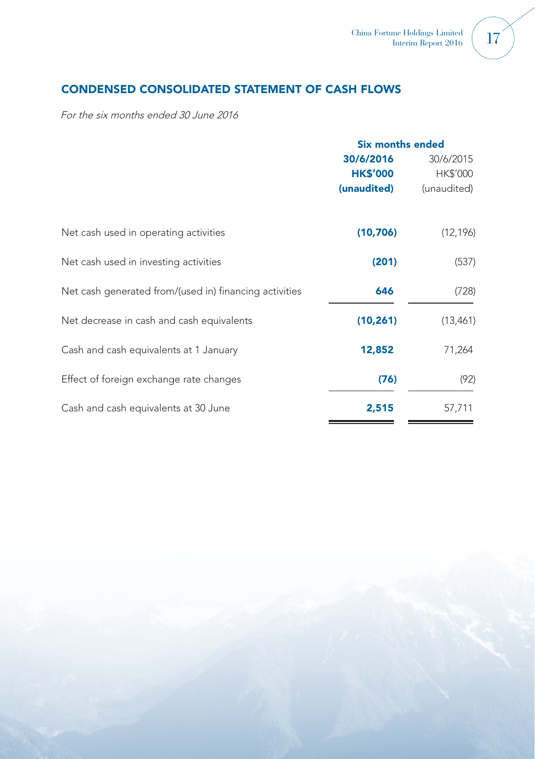# CONDENSED CONSOLIDATED STATEMENT OF CASH FLOWS

For the six months ended 30 June 2016

|                                                        | <b>Six months ended</b> |             |
|--------------------------------------------------------|-------------------------|-------------|
|                                                        | 30/6/2016               | 30/6/2015   |
|                                                        | <b>HK\$'000</b>         | HK\$'000    |
|                                                        | (unaudited)             | (unaudited) |
| Net cash used in operating activities                  | (10,706)                | (12, 196)   |
| Net cash used in investing activities                  | (201)                   | (537)       |
| Net cash generated from/(used in) financing activities | 646                     | (728)       |
| Net decrease in cash and cash equivalents              | (10, 261)               | (13,461)    |
| Cash and cash equivalents at 1 January                 | 12,852                  | 71,264      |
| Effect of foreign exchange rate changes                | (76)                    | (92)        |
| Cash and cash equivalents at 30 June                   | 2,515                   | 57,711      |

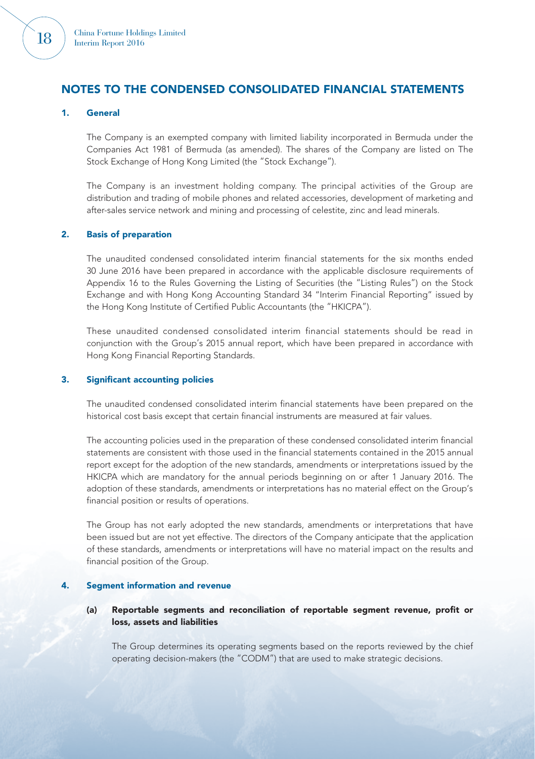

#### 1. General

The Company is an exempted company with limited liability incorporated in Bermuda under the Companies Act 1981 of Bermuda (as amended). The shares of the Company are listed on The Stock Exchange of Hong Kong Limited (the "Stock Exchange").

The Company is an investment holding company. The principal activities of the Group are distribution and trading of mobile phones and related accessories, development of marketing and after-sales service network and mining and processing of celestite, zinc and lead minerals.

#### 2. Basis of preparation

The unaudited condensed consolidated interim financial statements for the six months ended 30 June 2016 have been prepared in accordance with the applicable disclosure requirements of Appendix 16 to the Rules Governing the Listing of Securities (the "Listing Rules") on the Stock Exchange and with Hong Kong Accounting Standard 34 "Interim Financial Reporting" issued by the Hong Kong Institute of Certified Public Accountants (the "HKICPA").

These unaudited condensed consolidated interim financial statements should be read in conjunction with the Group's 2015 annual report, which have been prepared in accordance with Hong Kong Financial Reporting Standards.

#### 3. Significant accounting policies

The unaudited condensed consolidated interim financial statements have been prepared on the historical cost basis except that certain financial instruments are measured at fair values.

The accounting policies used in the preparation of these condensed consolidated interim financial statements are consistent with those used in the financial statements contained in the 2015 annual report except for the adoption of the new standards, amendments or interpretations issued by the HKICPA which are mandatory for the annual periods beginning on or after 1 January 2016. The adoption of these standards, amendments or interpretations has no material effect on the Group's financial position or results of operations.

The Group has not early adopted the new standards, amendments or interpretations that have been issued but are not yet effective. The directors of the Company anticipate that the application of these standards, amendments or interpretations will have no material impact on the results and financial position of the Group.

#### 4. Segment information and revenue

#### (a) Reportable segments and reconciliation of reportable segment revenue, profit or loss, assets and liabilities

The Group determines its operating segments based on the reports reviewed by the chief operating decision-makers (the "CODM") that are used to make strategic decisions.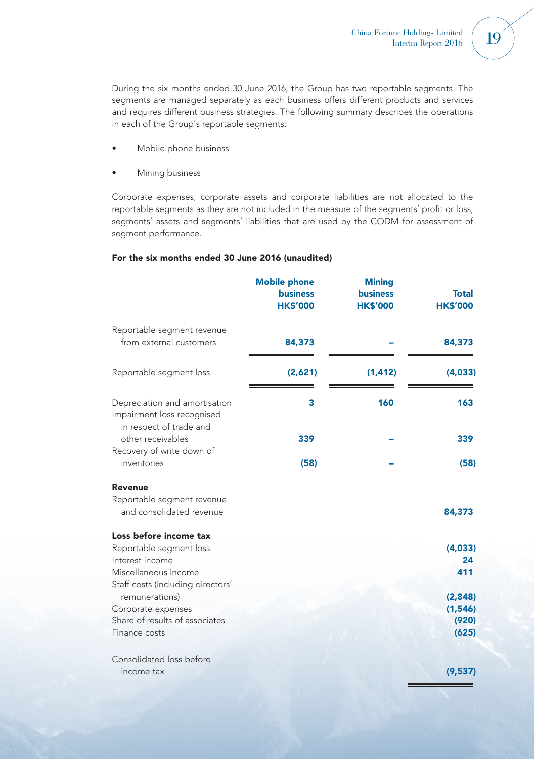During the six months ended 30 June 2016, the Group has two reportable segments. The segments are managed separately as each business offers different products and services and requires different business strategies. The following summary describes the operations in each of the Group's reportable segments:

- Mobile phone business
- Mining business

Corporate expenses, corporate assets and corporate liabilities are not allocated to the reportable segments as they are not included in the measure of the segments' profit or loss, segments' assets and segments' liabilities that are used by the CODM for assessment of segment performance.

#### For the six months ended 30 June 2016 (unaudited)

|                                                                                                                                   | <b>Mobile phone</b><br><b>business</b><br><b>HK\$'000</b> | <b>Mining</b><br><b>business</b><br><b>HK\$'000</b> | <b>Total</b><br><b>HK\$'000</b>       |
|-----------------------------------------------------------------------------------------------------------------------------------|-----------------------------------------------------------|-----------------------------------------------------|---------------------------------------|
| Reportable segment revenue<br>from external customers                                                                             | 84,373                                                    |                                                     | 84,373                                |
| Reportable segment loss                                                                                                           | (2,621)                                                   | (1, 412)                                            | (4,033)                               |
| Depreciation and amortisation<br>Impairment loss recognised<br>in respect of trade and                                            | 3                                                         | 160                                                 | 163                                   |
| other receivables                                                                                                                 | 339                                                       |                                                     | 339                                   |
| Recovery of write down of<br>inventories                                                                                          | (58)                                                      |                                                     | (58)                                  |
| <b>Revenue</b><br>Reportable segment revenue<br>and consolidated revenue                                                          |                                                           |                                                     | 84,373                                |
| Loss before income tax<br>Reportable segment loss<br>Interest income<br>Miscellaneous income<br>Staff costs (including directors' |                                                           |                                                     | (4,033)<br>24<br>411                  |
| remunerations)<br>Corporate expenses<br>Share of results of associates<br>Finance costs                                           |                                                           |                                                     | (2,848)<br>(1, 546)<br>(920)<br>(625) |
| Consolidated loss before<br>income tax                                                                                            |                                                           |                                                     | (9,537)                               |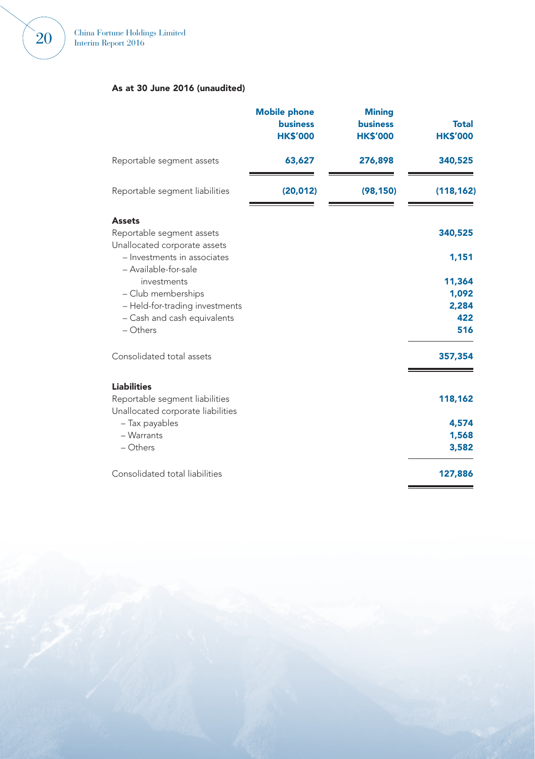## As at 30 June 2016 (unaudited)

|                                                                            | <b>Mobile phone</b><br><b>business</b><br><b>HK\$'000</b> | <b>Mining</b><br><b>business</b><br><b>HK\$'000</b> | <b>Total</b><br><b>HK\$'000</b> |
|----------------------------------------------------------------------------|-----------------------------------------------------------|-----------------------------------------------------|---------------------------------|
| Reportable segment assets                                                  | 63,627                                                    | 276,898                                             | 340,525                         |
| Reportable segment liabilities                                             | (20, 012)                                                 | (98, 150)                                           | (118, 162)                      |
| <b>Assets</b><br>Reportable segment assets<br>Unallocated corporate assets |                                                           |                                                     | 340,525                         |
| - Investments in associates<br>- Available-for-sale<br>investments         |                                                           |                                                     | 1,151<br>11,364                 |
| - Club memberships                                                         |                                                           |                                                     | 1,092                           |
| - Held-for-trading investments                                             |                                                           |                                                     | 2,284                           |
| - Cash and cash equivalents                                                |                                                           |                                                     | 422                             |
| $-$ Others                                                                 |                                                           |                                                     | 516                             |
| Consolidated total assets                                                  |                                                           |                                                     | 357,354                         |
| <b>Liabilities</b>                                                         |                                                           |                                                     |                                 |
| Reportable segment liabilities<br>Unallocated corporate liabilities        |                                                           |                                                     | 118,162                         |
| - Tax payables                                                             |                                                           |                                                     | 4,574                           |
| - Warrants                                                                 |                                                           |                                                     | 1,568                           |
| - Others                                                                   |                                                           |                                                     | 3,582                           |
| Consolidated total liabilities                                             |                                                           |                                                     | 127,886                         |

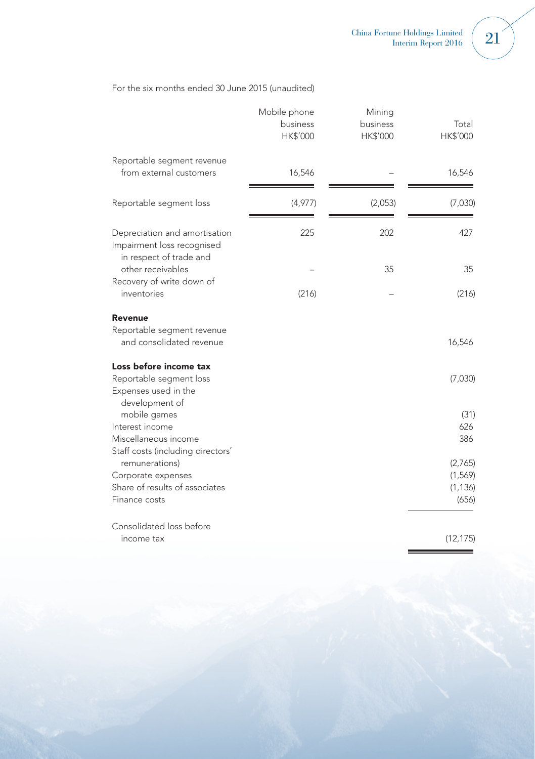#### For the six months ended 30 June 2015 (unaudited)

|                                                                                        | Mobile phone<br>business<br>HK\$'000 | Mining<br>business<br>HK\$'000 | Total<br>HK\$'000 |
|----------------------------------------------------------------------------------------|--------------------------------------|--------------------------------|-------------------|
| Reportable segment revenue<br>from external customers                                  | 16,546                               |                                | 16,546            |
| Reportable segment loss                                                                | (4,977)                              | (2,053)                        | (7,030)           |
| Depreciation and amortisation<br>Impairment loss recognised<br>in respect of trade and | 225                                  | 202                            | 427               |
| other receivables                                                                      |                                      | 35                             | 35                |
| Recovery of write down of<br>inventories                                               | (216)                                |                                | (216)             |
| Revenue                                                                                |                                      |                                |                   |
| Reportable segment revenue<br>and consolidated revenue                                 |                                      |                                | 16,546            |
| Loss before income tax                                                                 |                                      |                                |                   |
| Reportable segment loss<br>Expenses used in the<br>development of                      |                                      |                                | (7,030)           |
| mobile games                                                                           |                                      |                                | (31)              |
| Interest income                                                                        |                                      |                                | 626               |
| Miscellaneous income<br>Staff costs (including directors'                              |                                      |                                | 386               |
| remunerations)                                                                         |                                      |                                | (2,765)           |
| Corporate expenses                                                                     |                                      |                                | (1, 569)          |
| Share of results of associates                                                         |                                      |                                | (1, 136)          |
| Finance costs                                                                          |                                      |                                | (656)             |
| Consolidated loss before                                                               |                                      |                                |                   |
| income tax                                                                             |                                      |                                | (12, 175)         |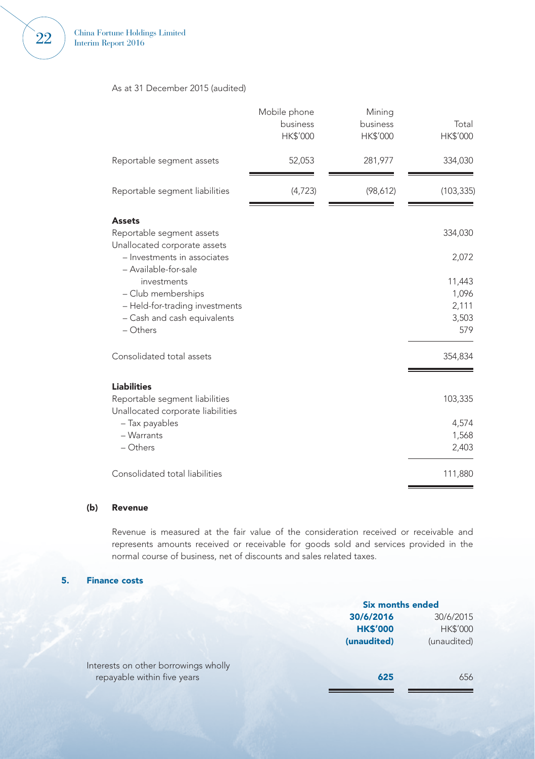### As at 31 December 2015 (audited)

|                                                                                                                                        | Mobile phone<br>business<br>HK\$'000 | Mining<br>business<br>HK\$'000 | Total<br>HK\$'000                        |
|----------------------------------------------------------------------------------------------------------------------------------------|--------------------------------------|--------------------------------|------------------------------------------|
| Reportable segment assets                                                                                                              | 52,053                               | 281,977                        | 334,030                                  |
| Reportable segment liabilities                                                                                                         | (4,723)                              | (98,612)                       | (103, 335)                               |
| <b>Assets</b><br>Reportable segment assets<br>Unallocated corporate assets                                                             |                                      |                                | 334,030                                  |
| - Investments in associates                                                                                                            |                                      |                                | 2,072                                    |
| - Available-for-sale<br>investments<br>- Club memberships<br>- Held-for-trading investments<br>- Cash and cash equivalents<br>- Others |                                      |                                | 11,443<br>1,096<br>2,111<br>3,503<br>579 |
| Consolidated total assets                                                                                                              |                                      |                                | 354,834                                  |
| <b>Liabilities</b><br>Reportable segment liabilities<br>Unallocated corporate liabilities                                              |                                      |                                | 103,335                                  |
| - Tax payables<br>- Warrants<br>- Others                                                                                               |                                      |                                | 4,574<br>1,568<br>2,403                  |
| Consolidated total liabilities                                                                                                         |                                      |                                | 111,880                                  |

#### (b) Revenue

Revenue is measured at the fair value of the consideration received or receivable and represents amounts received or receivable for goods sold and services provided in the normal course of business, net of discounts and sales related taxes.

### 5. Finance costs

|                                      | <b>Six months ended</b> |             |
|--------------------------------------|-------------------------|-------------|
|                                      | 30/6/2016               | 30/6/2015   |
|                                      | <b>HK\$'000</b>         | HK\$'000    |
|                                      | (unaudited)             | (unaudited) |
| Interests on other borrowings wholly |                         |             |
| repayable within five years          | 625                     | 656         |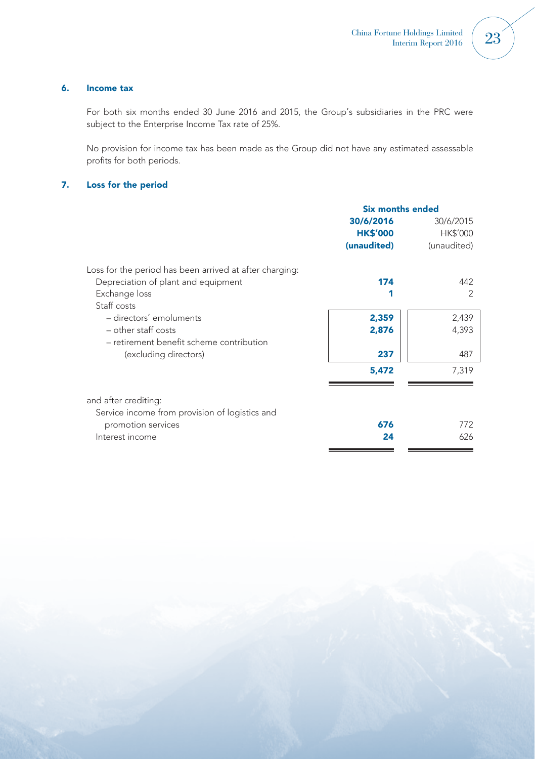## 6. Income tax

For both six months ended 30 June 2016 and 2015, the Group's subsidiaries in the PRC were subject to the Enterprise Income Tax rate of 25%.

No provision for income tax has been made as the Group did not have any estimated assessable profits for both periods.

## 7. Loss for the period

|                                                         | Six months ended |             |
|---------------------------------------------------------|------------------|-------------|
|                                                         | 30/6/2016        | 30/6/2015   |
|                                                         | <b>HK\$'000</b>  | HK\$'000    |
|                                                         | (unaudited)      | (unaudited) |
| Loss for the period has been arrived at after charging: |                  |             |
| Depreciation of plant and equipment                     | 174              | 442         |
| Exchange loss                                           |                  | 2           |
| Staff costs                                             |                  |             |
| - directors' emoluments                                 | 2,359            | 2,439       |
| $-$ other staff costs                                   | 2,876            | 4,393       |
| - retirement benefit scheme contribution                |                  |             |
| (excluding directors)                                   | 237              | 487         |
|                                                         | 5,472            | 7,319       |
|                                                         |                  |             |
| and after crediting:                                    |                  |             |
| Service income from provision of logistics and          |                  |             |
| promotion services                                      | 676              | 772         |
| Interest income                                         | 24               | 626         |
|                                                         |                  |             |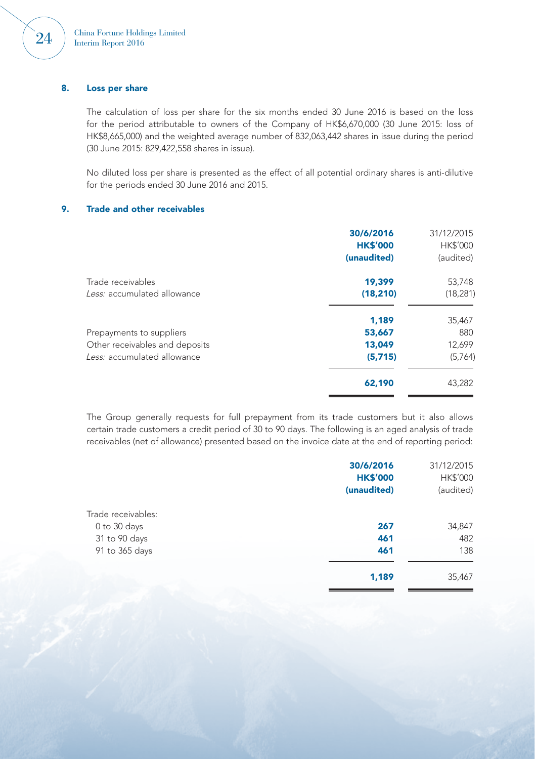## 8. Loss per share

The calculation of loss per share for the six months ended 30 June 2016 is based on the loss for the period attributable to owners of the Company of HK\$6,670,000 (30 June 2015: loss of HK\$8,665,000) and the weighted average number of 832,063,442 shares in issue during the period (30 June 2015: 829,422,558 shares in issue).

No diluted loss per share is presented as the effect of all potential ordinary shares is anti-dilutive for the periods ended 30 June 2016 and 2015.

#### 9. Trade and other receivables

| 30/6/2016<br><b>HK\$'000</b><br>(unaudited) | 31/12/2015<br>HK\$'000<br>(audited) |
|---------------------------------------------|-------------------------------------|
| 19,399                                      | 53,748                              |
| (18, 210)                                   | (18, 281)                           |
| 1.189                                       | 35,467                              |
| 53,667                                      | 880                                 |
| 13,049                                      | 12,699                              |
| (5,715)                                     | (5,764)                             |
| 62,190                                      | 43,282                              |
|                                             |                                     |

The Group generally requests for full prepayment from its trade customers but it also allows certain trade customers a credit period of 30 to 90 days. The following is an aged analysis of trade receivables (net of allowance) presented based on the invoice date at the end of reporting period:

|                    | 30/6/2016<br><b>HK\$'000</b> | 31/12/2015<br>HK\$'000 |
|--------------------|------------------------------|------------------------|
|                    | (unaudited)                  | (audited)              |
| Trade receivables: |                              |                        |
| 0 to 30 days       | 267                          | 34,847                 |
| 31 to 90 days      | 461                          | 482                    |
| 91 to 365 days     | 461                          | 138                    |
|                    | 1,189                        | 35,467                 |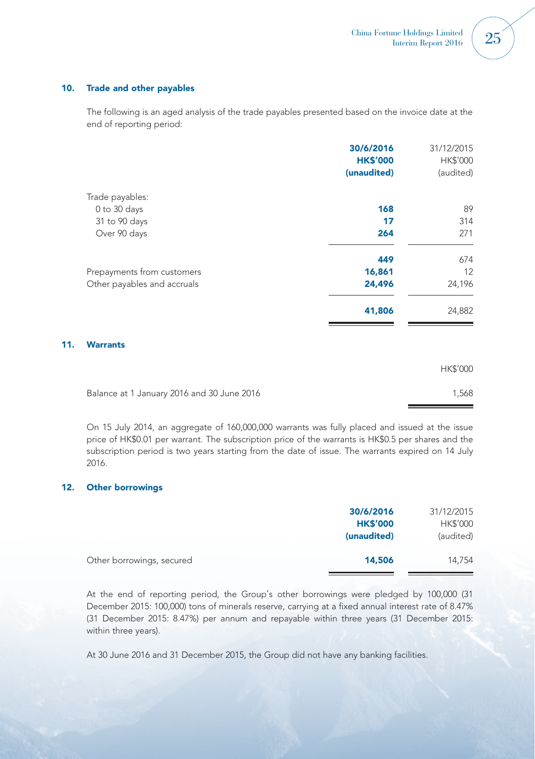## 10. Trade and other payables

The following is an aged analysis of the trade payables presented based on the invoice date at the end of reporting period:

|     |                             | 30/6/2016<br><b>HK\$'000</b> | 31/12/2015<br>HK\$'000 |
|-----|-----------------------------|------------------------------|------------------------|
|     |                             | (unaudited)                  | (audited)              |
|     | Trade payables:             |                              |                        |
|     | 0 to 30 days                | 168                          | 89                     |
|     | 31 to 90 days               | 17                           | 314                    |
|     | Over 90 days                | 264                          | 271                    |
|     |                             | 449                          | 674                    |
|     | Prepayments from customers  | 16,861                       | 12                     |
|     | Other payables and accruals | 24,496                       | 24,196                 |
|     |                             | 41,806                       | 24,882                 |
| 11. | <b>Warrants</b>             |                              |                        |
|     |                             |                              | HK\$'000               |

|                                            | .     |
|--------------------------------------------|-------|
| Balance at 1 January 2016 and 30 June 2016 | 1.568 |
|                                            |       |

On 15 July 2014, an aggregate of 160,000,000 warrants was fully placed and issued at the issue price of HK\$0.01 per warrant. The subscription price of the warrants is HK\$0.5 per shares and the subscription period is two years starting from the date of issue. The warrants expired on 14 July 2016.

## 12. Other borrowings

|                           | 30/6/2016       | 31/12/2015 |
|---------------------------|-----------------|------------|
|                           | <b>HK\$'000</b> | HK\$'000   |
|                           | (unaudited)     | (audited)  |
| Other borrowings, secured | 14,506          | 14.754     |
|                           |                 |            |

At the end of reporting period, the Group's other borrowings were pledged by 100,000 (31 December 2015: 100,000) tons of minerals reserve, carrying at a fixed annual interest rate of 8.47% (31 December 2015: 8.47%) per annum and repayable within three years (31 December 2015: within three years).

At 30 June 2016 and 31 December 2015, the Group did not have any banking facilities.